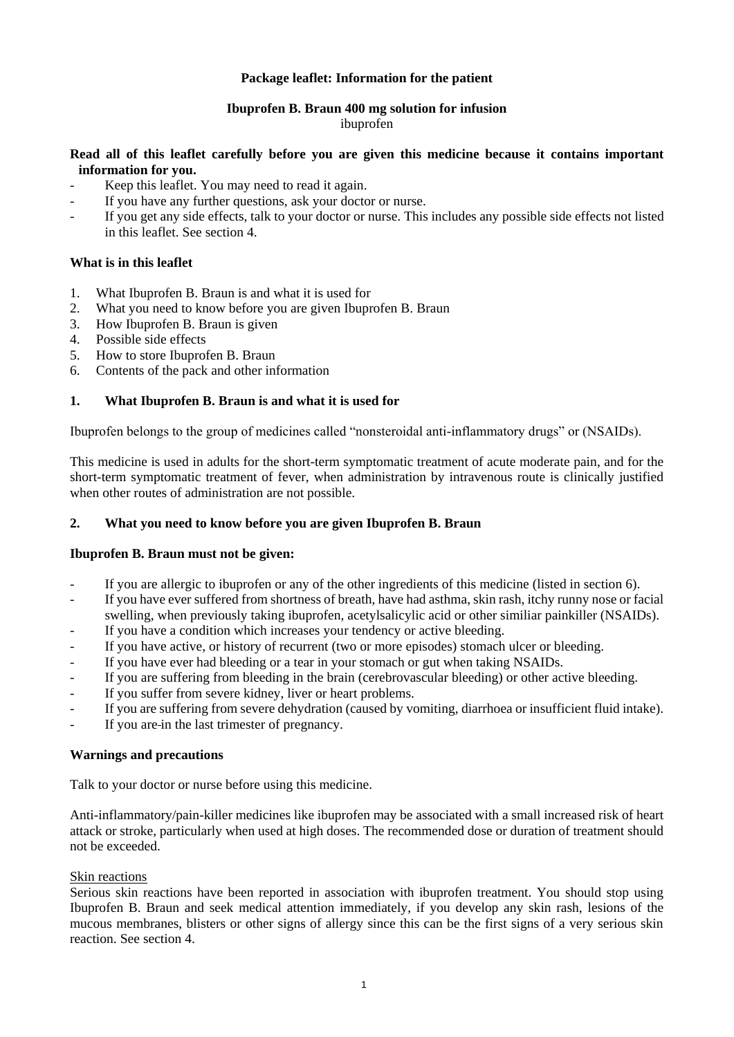# **Package leaflet: Information for the patient**

# **Ibuprofen B. Braun 400 mg solution for infusion**

#### ibuprofen

# **Read all of this leaflet carefully before you are given this medicine because it contains important information for you.**

- Keep this leaflet. You may need to read it again.
- If you have any further questions, ask your doctor or nurse.
- If you get any side effects, talk to your doctor or nurse. This includes any possible side effects not listed in this leaflet. See section 4.

# **What is in this leaflet**

- 1. What Ibuprofen B. Braun is and what it is used for
- 2. What you need to know before you are given Ibuprofen B. Braun
- 3. How Ibuprofen B. Braun is given
- 4. Possible side effects
- 5. How to store Ibuprofen B. Braun
- 6. Contents of the pack and other information

# **1. What Ibuprofen B. Braun is and what it is used for**

Ibuprofen belongs to the group of medicines called "nonsteroidal anti-inflammatory drugs" or (NSAIDs).

This medicine is used in adults for the short-term symptomatic treatment of acute moderate pain, and for the short-term symptomatic treatment of fever, when administration by intravenous route is clinically justified when other routes of administration are not possible.

## **2. What you need to know before you are given Ibuprofen B. Braun**

#### **Ibuprofen B. Braun must not be given:**

- If you are allergic to ibuprofen or any of the other ingredients of this medicine (listed in section 6).
- If you have ever suffered from shortness of breath, have had asthma, skin rash, itchy runny nose or facial swelling, when previously taking ibuprofen, acetylsalicylic acid or other similiar painkiller (NSAIDs).
- If you have a condition which increases your tendency or active bleeding.
- If you have active, or history of recurrent (two or more episodes) stomach ulcer or bleeding.
- If you have ever had bleeding or a tear in your stomach or gut when taking NSAIDs.
- If you are suffering from bleeding in the brain (cerebrovascular bleeding) or other active bleeding.
- If you suffer from severe kidney, liver or heart problems.
- If you are suffering from severe dehydration (caused by vomiting, diarrhoea or insufficient fluid intake).
- If you are in the last trimester of pregnancy.

#### **Warnings and precautions**

Talk to your doctor or nurse before using this medicine.

Anti-inflammatory/pain-killer medicines like ibuprofen may be associated with a small increased risk of heart attack or stroke, particularly when used at high doses. The recommended dose or duration of treatment should not be exceeded.

#### Skin reactions

Serious skin reactions have been reported in association with ibuprofen treatment. You should stop using Ibuprofen B. Braun and seek medical attention immediately, if you develop any skin rash, lesions of the mucous membranes, blisters or other signs of allergy since this can be the first signs of a very serious skin reaction. See section 4.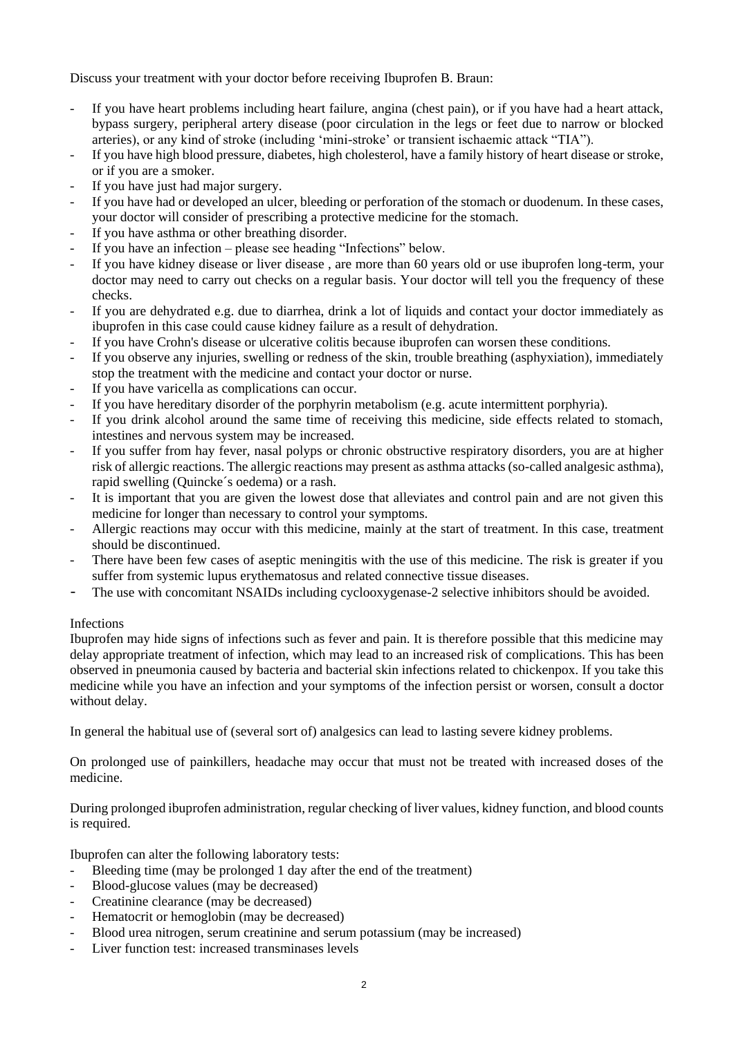Discuss your treatment with your doctor before receiving Ibuprofen B. Braun:

- If you have heart problems including heart failure, angina (chest pain), or if you have had a heart attack, bypass surgery, peripheral artery disease (poor circulation in the legs or feet due to narrow or blocked arteries), or any kind of stroke (including 'mini-stroke' or transient ischaemic attack "TIA").
- If you have high blood pressure, diabetes, high cholesterol, have a family history of heart disease or stroke, or if you are a smoker.
- If you have just had major surgery.
- If you have had or developed an ulcer, bleeding or perforation of the stomach or duodenum. In these cases, your doctor will consider of prescribing a protective medicine for the stomach.
- If you have asthma or other breathing disorder.
- If you have an infection please see heading "Infections" below.
- If you have kidney disease or liver disease, are more than 60 years old or use ibuprofen long-term, your doctor may need to carry out checks on a regular basis. Your doctor will tell you the frequency of these checks.
- If you are dehydrated e.g. due to diarrhea, drink a lot of liquids and contact your doctor immediately as ibuprofen in this case could cause kidney failure as a result of dehydration.
- If you have Crohn's disease or ulcerative colitis because ibuprofen can worsen these conditions.
- If you observe any injuries, swelling or redness of the skin, trouble breathing (asphyxiation), immediately stop the treatment with the medicine and contact your doctor or nurse.
- If you have varicella as complications can occur.
- If you have hereditary disorder of the porphyrin metabolism (e.g. acute intermittent porphyria).
- If you drink alcohol around the same time of receiving this medicine, side effects related to stomach, intestines and nervous system may be increased.
- If you suffer from hay fever, nasal polyps or chronic obstructive respiratory disorders, you are at higher risk of allergic reactions. The allergic reactions may present as asthma attacks (so-called analgesic asthma), rapid swelling (Quincke´s oedema) or a rash.
- It is important that you are given the lowest dose that alleviates and control pain and are not given this medicine for longer than necessary to control your symptoms.
- Allergic reactions may occur with this medicine, mainly at the start of treatment. In this case, treatment should be discontinued.
- There have been few cases of aseptic meningitis with the use of this medicine. The risk is greater if you suffer from systemic lupus erythematosus and related connective tissue diseases.
- The use with concomitant NSAIDs including cyclooxygenase-2 selective inhibitors should be avoided.

# Infections

Ibuprofen may hide signs of infections such as fever and pain. It is therefore possible that this medicine may delay appropriate treatment of infection, which may lead to an increased risk of complications. This has been observed in pneumonia caused by bacteria and bacterial skin infections related to chickenpox. If you take this medicine while you have an infection and your symptoms of the infection persist or worsen, consult a doctor without delay.

In general the habitual use of (several sort of) analgesics can lead to lasting severe kidney problems.

On prolonged use of painkillers, headache may occur that must not be treated with increased doses of the medicine.

During prolonged ibuprofen administration, regular checking of liver values, kidney function, and blood counts is required.

Ibuprofen can alter the following laboratory tests:

- Bleeding time (may be prolonged 1 day after the end of the treatment)
- Blood-glucose values (may be decreased)
- Creatinine clearance (may be decreased)
- Hematocrit or hemoglobin (may be decreased)
- Blood urea nitrogen, serum creatinine and serum potassium (may be increased)
- Liver function test: increased transminases levels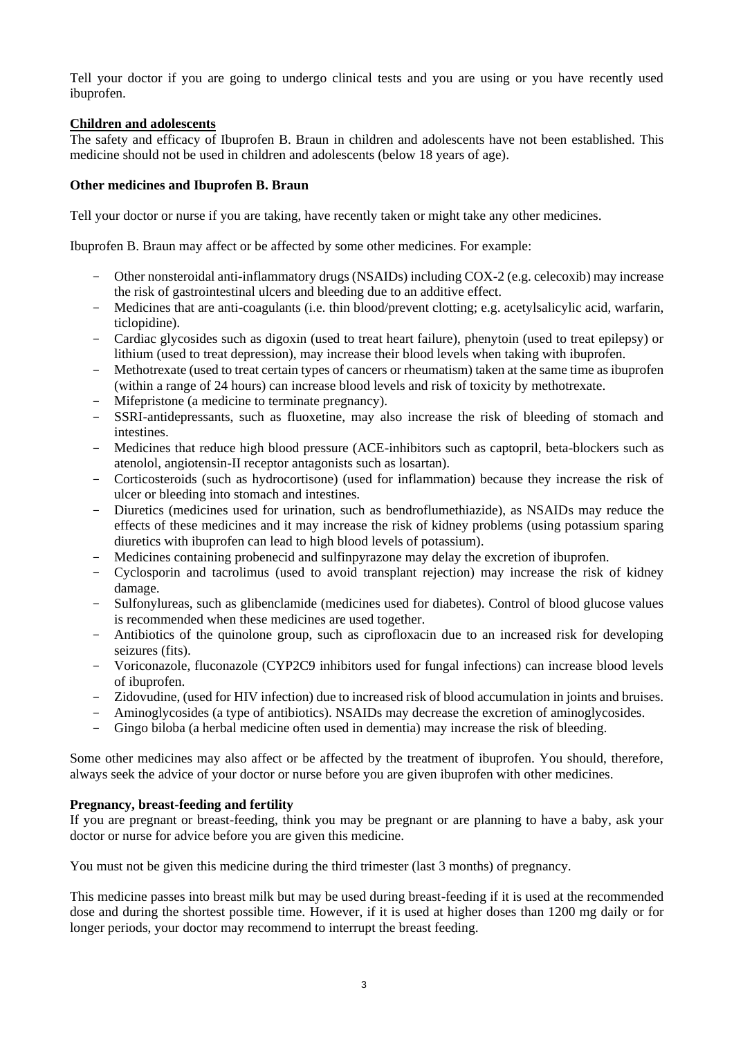Tell your doctor if you are going to undergo clinical tests and you are using or you have recently used ibuprofen.

# **Children and adolescents**

The safety and efficacy of Ibuprofen B. Braun in children and adolescents have not been established. This medicine should not be used in children and adolescents (below 18 years of age).

# **Other medicines and Ibuprofen B. Braun**

Tell your doctor or nurse if you are taking, have recently taken or might take any other medicines.

Ibuprofen B. Braun may affect or be affected by some other medicines. For example:

- Other nonsteroidal anti-inflammatory drugs (NSAIDs) including COX-2 (e.g. celecoxib) may increase the risk of gastrointestinal ulcers and bleeding due to an additive effect.
- Medicines that are anti-coagulants (i.e. thin blood/prevent clotting; e.g. acetylsalicylic acid, warfarin, ticlopidine).
- Cardiac glycosides such as digoxin (used to treat heart failure), phenytoin (used to treat epilepsy) or lithium (used to treat depression), may increase their blood levels when taking with ibuprofen.
- Methotrexate (used to treat certain types of cancers or rheumatism) taken at the same time as ibuprofen (within a range of 24 hours) can increase blood levels and risk of toxicity by methotrexate.
- Mifepristone (a medicine to terminate pregnancy).
- SSRI-antidepressants, such as fluoxetine, may also increase the risk of bleeding of stomach and intestines.
- Medicines that reduce high blood pressure (ACE-inhibitors such as captopril, beta-blockers such as atenolol, angiotensin-II receptor antagonists such as losartan).
- Corticosteroids (such as hydrocortisone) (used for inflammation) because they increase the risk of ulcer or bleeding into stomach and intestines.
- Diuretics (medicines used for urination, such as bendroflumethiazide), as NSAIDs may reduce the effects of these medicines and it may increase the risk of kidney problems (using potassium sparing diuretics with ibuprofen can lead to high blood levels of potassium).
- Medicines containing probenecid and sulfinpyrazone may delay the excretion of ibuprofen.
- Cyclosporin and tacrolimus (used to avoid transplant rejection) may increase the risk of kidney damage.
- Sulfonylureas, such as glibenclamide (medicines used for diabetes). Control of blood glucose values is recommended when these medicines are used together.
- Antibiotics of the quinolone group, such as ciprofloxacin due to an increased risk for developing seizures (fits).
- Voriconazole, fluconazole (CYP2C9 inhibitors used for fungal infections) can increase blood levels of ibuprofen.
- Zidovudine, (used for HIV infection) due to increased risk of blood accumulation in joints and bruises.
- Aminoglycosides (a type of antibiotics). NSAIDs may decrease the excretion of aminoglycosides.
- Gingo biloba (a herbal medicine often used in dementia) may increase the risk of bleeding.

Some other medicines may also affect or be affected by the treatment of ibuprofen. You should, therefore, always seek the advice of your doctor or nurse before you are given ibuprofen with other medicines.

# **Pregnancy, breast-feeding and fertility**

If you are pregnant or breast-feeding, think you may be pregnant or are planning to have a baby, ask your doctor or nurse for advice before you are given this medicine.

You must not be given this medicine during the third trimester (last 3 months) of pregnancy.

This medicine passes into breast milk but may be used during breast-feeding if it is used at the recommended dose and during the shortest possible time. However, if it is used at higher doses than 1200 mg daily or for longer periods, your doctor may recommend to interrupt the breast feeding.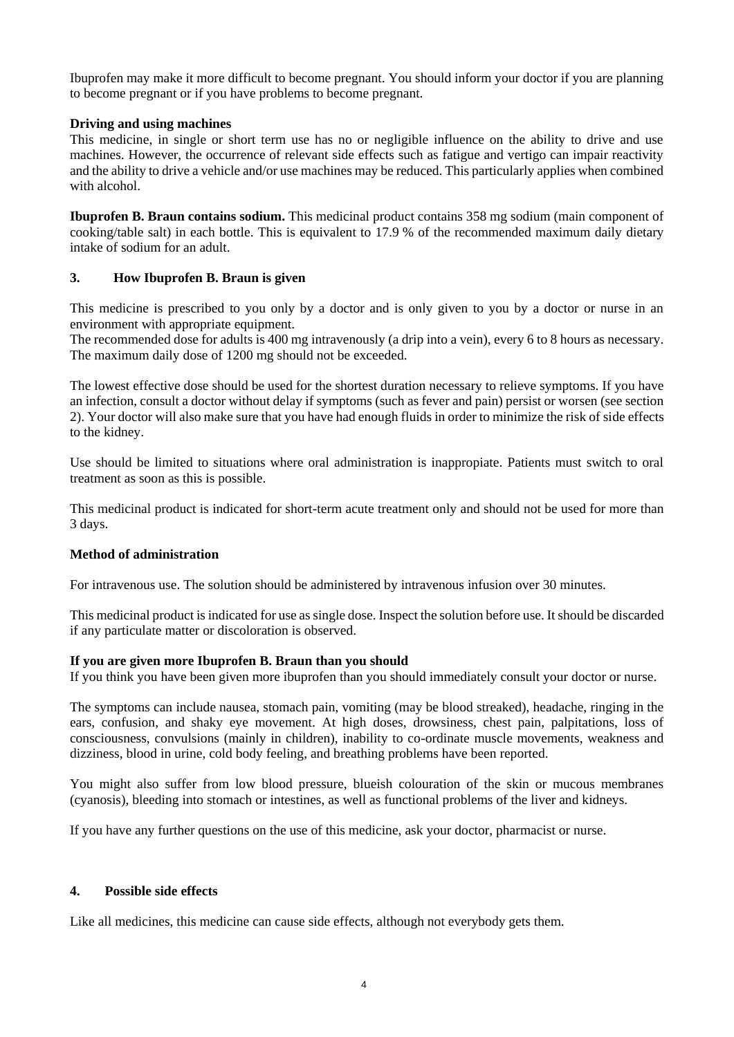Ibuprofen may make it more difficult to become pregnant. You should inform your doctor if you are planning to become pregnant or if you have problems to become pregnant.

#### **Driving and using machines**

This medicine, in single or short term use has no or negligible influence on the ability to drive and use machines. However, the occurrence of relevant side effects such as fatigue and vertigo can impair reactivity and the ability to drive a vehicle and/or use machines may be reduced. This particularly applies when combined with alcohol.

**Ibuprofen B. Braun contains sodium.** This medicinal product contains 358 mg sodium (main component of cooking/table salt) in each bottle. This is equivalent to 17.9 % of the recommended maximum daily dietary intake of sodium for an adult.

# **3. How Ibuprofen B. Braun is given**

This medicine is prescribed to you only by a doctor and is only given to you by a doctor or nurse in an environment with appropriate equipment.

The recommended dose for adults is 400 mg intravenously (a drip into a vein), every 6 to 8 hours as necessary. The maximum daily dose of 1200 mg should not be exceeded.

The lowest effective dose should be used for the shortest duration necessary to relieve symptoms. If you have an infection, consult a doctor without delay if symptoms (such as fever and pain) persist or worsen (see section 2). Your doctor will also make sure that you have had enough fluids in order to minimize the risk of side effects to the kidney.

Use should be limited to situations where oral administration is inappropiate. Patients must switch to oral treatment as soon as this is possible.

This medicinal product is indicated for short-term acute treatment only and should not be used for more than 3 days.

# **Method of administration**

For intravenous use. The solution should be administered by intravenous infusion over 30 minutes.

This medicinal product is indicated for use as single dose. Inspect the solution before use. It should be discarded if any particulate matter or discoloration is observed.

#### **If you are given more Ibuprofen B. Braun than you should**

If you think you have been given more ibuprofen than you should immediately consult your doctor or nurse.

The symptoms can include nausea, stomach pain, vomiting (may be blood streaked), headache, ringing in the ears, confusion, and shaky eye movement. At high doses, drowsiness, chest pain, palpitations, loss of consciousness, convulsions (mainly in children), inability to co-ordinate muscle movements, weakness and dizziness, blood in urine, cold body feeling, and breathing problems have been reported.

You might also suffer from low blood pressure, blueish colouration of the skin or mucous membranes (cyanosis), bleeding into stomach or intestines, as well as functional problems of the liver and kidneys.

If you have any further questions on the use of this medicine, ask your doctor, pharmacist or nurse.

#### **4. Possible side effects**

Like all medicines, this medicine can cause side effects, although not everybody gets them.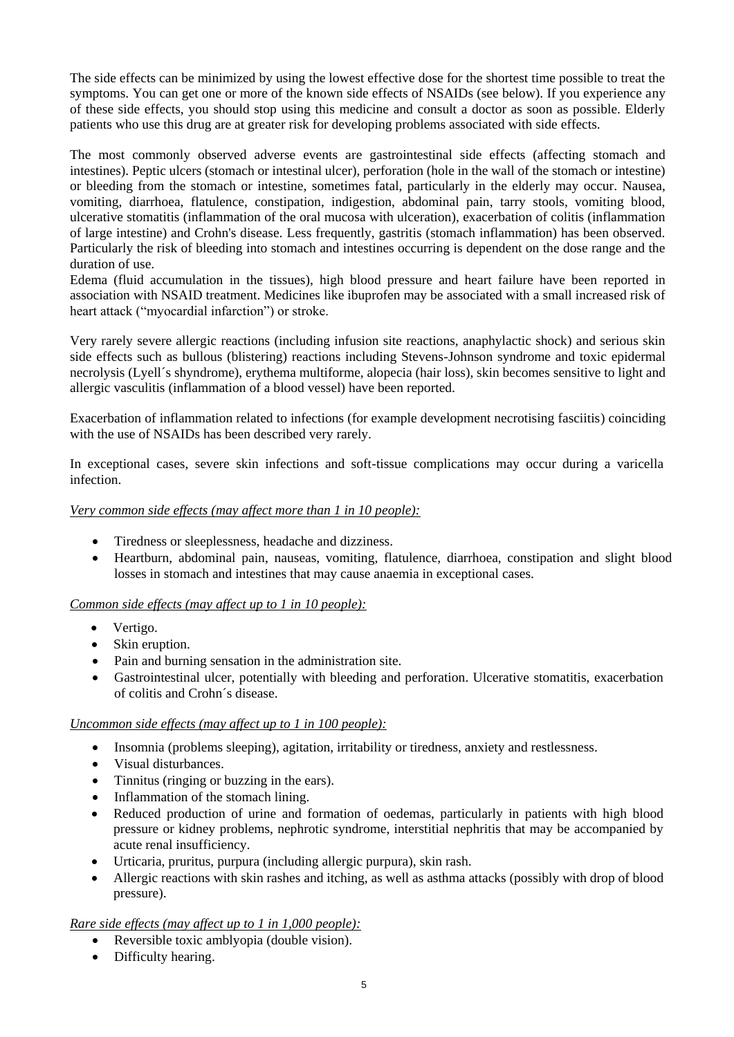The side effects can be minimized by using the lowest effective dose for the shortest time possible to treat the symptoms. You can get one or more of the known side effects of NSAIDs (see below). If you experience any of these side effects, you should stop using this medicine and consult a doctor as soon as possible. Elderly patients who use this drug are at greater risk for developing problems associated with side effects.

The most commonly observed adverse events are gastrointestinal side effects (affecting stomach and intestines). Peptic ulcers (stomach or intestinal ulcer), perforation (hole in the wall of the stomach or intestine) or bleeding from the stomach or intestine, sometimes fatal, particularly in the elderly may occur. Nausea, vomiting, diarrhoea, flatulence, constipation, indigestion, abdominal pain, tarry stools, vomiting blood, ulcerative stomatitis (inflammation of the oral mucosa with ulceration), exacerbation of colitis (inflammation of large intestine) and Crohn's disease. Less frequently, gastritis (stomach inflammation) has been observed. Particularly the risk of bleeding into stomach and intestines occurring is dependent on the dose range and the duration of use.

Edema (fluid accumulation in the tissues), high blood pressure and heart failure have been reported in association with NSAID treatment. Medicines like ibuprofen may be associated with a small increased risk of heart attack ("myocardial infarction") or stroke.

Very rarely severe allergic reactions (including infusion site reactions, anaphylactic shock) and serious skin side effects such as bullous (blistering) reactions including Stevens-Johnson syndrome and toxic epidermal necrolysis (Lyell´s shyndrome), erythema multiforme, alopecia (hair loss), skin becomes sensitive to light and allergic vasculitis (inflammation of a blood vessel) have been reported.

Exacerbation of inflammation related to infections (for example development necrotising fasciitis) coinciding with the use of NSAIDs has been described very rarely.

In exceptional cases, severe skin infections and soft-tissue complications may occur during a varicella infection.

# *Very common side effects (may affect more than 1 in 10 people):*

- Tiredness or sleeplessness, headache and dizziness.
- Heartburn, abdominal pain, nauseas, vomiting, flatulence, diarrhoea, constipation and slight blood losses in stomach and intestines that may cause anaemia in exceptional cases.

#### *Common side effects (may affect up to 1 in 10 people):*

- Vertigo.
- Skin eruption.
- Pain and burning sensation in the administration site.
- Gastrointestinal ulcer, potentially with bleeding and perforation. Ulcerative stomatitis, exacerbation of colitis and Crohn´s disease.

#### *Uncommon side effects (may affect up to 1 in 100 people):*

- Insomnia (problems sleeping), agitation, irritability or tiredness, anxiety and restlessness.
- Visual disturbances.
- Tinnitus (ringing or buzzing in the ears).
- Inflammation of the stomach lining.
- Reduced production of urine and formation of oedemas, particularly in patients with high blood pressure or kidney problems, nephrotic syndrome, interstitial nephritis that may be accompanied by acute renal insufficiency.
- Urticaria, pruritus, purpura (including allergic purpura), skin rash.
- Allergic reactions with skin rashes and itching, as well as asthma attacks (possibly with drop of blood pressure).

#### *Rare side effects (may affect up to 1 in 1,000 people):*

- Reversible toxic amblyopia (double vision).
- Difficulty hearing.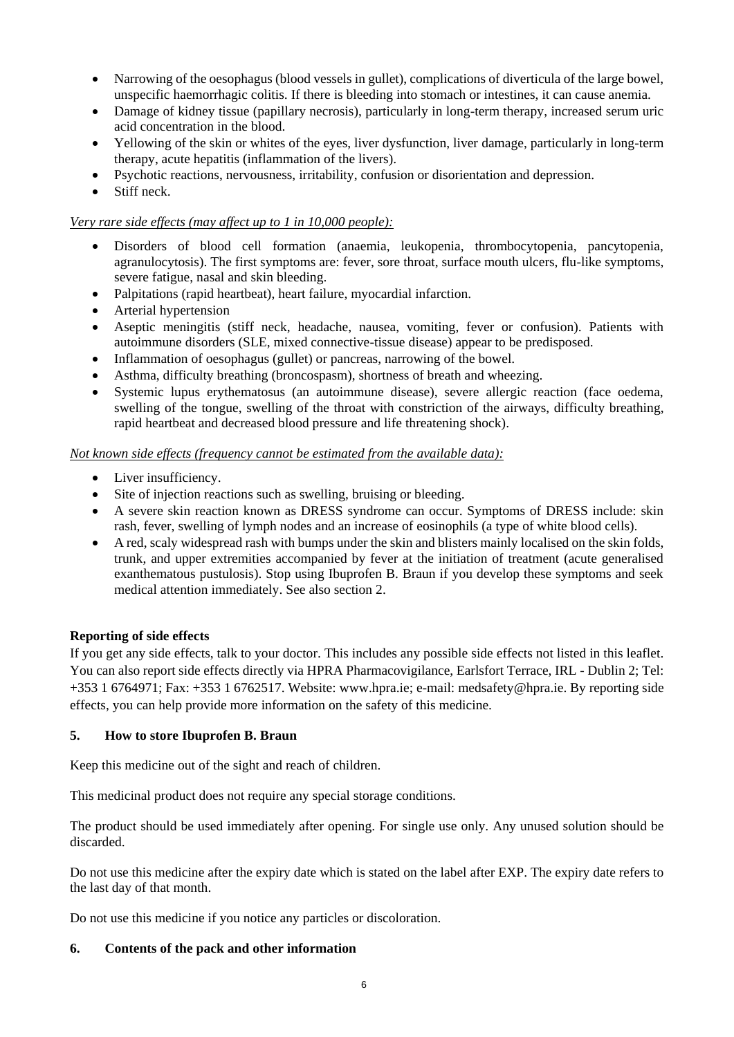- Narrowing of the oesophagus (blood vessels in gullet), complications of diverticula of the large bowel, unspecific haemorrhagic colitis. If there is bleeding into stomach or intestines, it can cause anemia.
- Damage of kidney tissue (papillary necrosis), particularly in long-term therapy, increased serum uric acid concentration in the blood.
- Yellowing of the skin or whites of the eyes, liver dysfunction, liver damage, particularly in long-term therapy, acute hepatitis (inflammation of the livers).
- Psychotic reactions, nervousness, irritability, confusion or disorientation and depression.
- Stiff neck.

## *Very rare side effects (may affect up to 1 in 10,000 people):*

- Disorders of blood cell formation (anaemia, leukopenia, thrombocytopenia, pancytopenia, agranulocytosis). The first symptoms are: fever, sore throat, surface mouth ulcers, flu-like symptoms, severe fatigue, nasal and skin bleeding.
- Palpitations (rapid heartbeat), heart failure, myocardial infarction.
- Arterial hypertension
- Aseptic meningitis (stiff neck, headache, nausea, vomiting, fever or confusion). Patients with autoimmune disorders (SLE, mixed connective-tissue disease) appear to be predisposed.
- Inflammation of oesophagus (gullet) or pancreas, narrowing of the bowel.
- Asthma, difficulty breathing (broncospasm), shortness of breath and wheezing.
- Systemic lupus erythematosus (an autoimmune disease), severe allergic reaction (face oedema, swelling of the tongue, swelling of the throat with constriction of the airways, difficulty breathing, rapid heartbeat and decreased blood pressure and life threatening shock).

#### *Not known side effects (frequency cannot be estimated from the available data):*

- Liver insufficiency.
- Site of injection reactions such as swelling, bruising or bleeding.
- A severe skin reaction known as DRESS syndrome can occur. Symptoms of DRESS include: skin rash, fever, swelling of lymph nodes and an increase of eosinophils (a type of white blood cells).
- A red, scaly widespread rash with bumps under the skin and blisters mainly localised on the skin folds, trunk, and upper extremities accompanied by fever at the initiation of treatment (acute generalised exanthematous pustulosis). Stop using Ibuprofen B. Braun if you develop these symptoms and seek medical attention immediately. See also section 2.

#### **Reporting of side effects**

If you get any side effects, talk to your doctor. This includes any possible side effects not listed in this leaflet. You can also report side effects directly via HPRA Pharmacovigilance, Earlsfort Terrace, IRL - Dublin 2; Tel: +353 1 6764971; Fax: +353 1 6762517. Website: [www.hpra.ie;](http://www.hpra.ie/) e-mail[: medsafety@hpra.ie.](mailto:medsafety@hpra.ie) By reporting side effects, you can help provide more information on the safety of this medicine.

#### **5. How to store Ibuprofen B. Braun**

Keep this medicine out of the sight and reach of children.

This medicinal product does not require any special storage conditions.

The product should be used immediately after opening. For single use only. Any unused solution should be discarded.

Do not use this medicine after the expiry date which is stated on the label after EXP. The expiry date refers to the last day of that month.

Do not use this medicine if you notice any particles or discoloration.

#### **6. Contents of the pack and other information**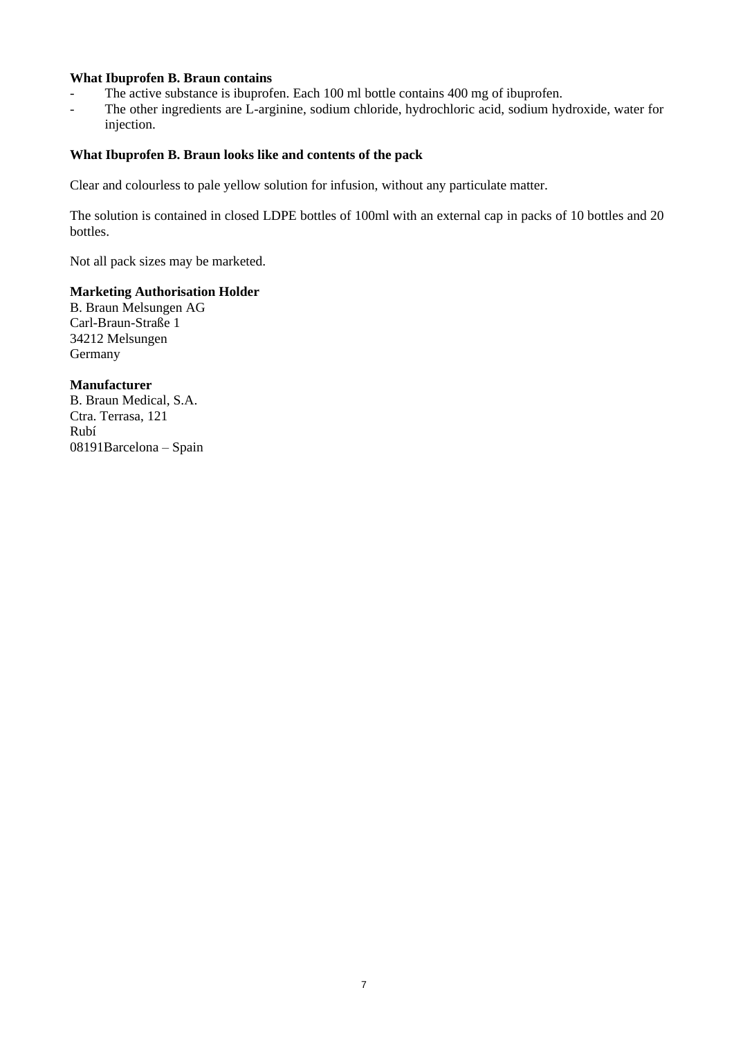# **What Ibuprofen B. Braun contains**

- The active substance is ibuprofen. Each 100 ml bottle contains 400 mg of ibuprofen.
- The other ingredients are L-arginine, sodium chloride, hydrochloric acid, sodium hydroxide, water for injection.

# **What Ibuprofen B. Braun looks like and contents of the pack**

Clear and colourless to pale yellow solution for infusion, without any particulate matter.

The solution is contained in closed LDPE bottles of 100ml with an external cap in packs of 10 bottles and 20 bottles.

Not all pack sizes may be marketed.

# **Marketing Authorisation Holder**

B. Braun Melsungen AG Carl-Braun-Straße 1 34212 Melsungen Germany

## **Manufacturer** B. Braun Medical, S.A. Ctra. Terrasa, 121

Rubí 08191Barcelona – Spain